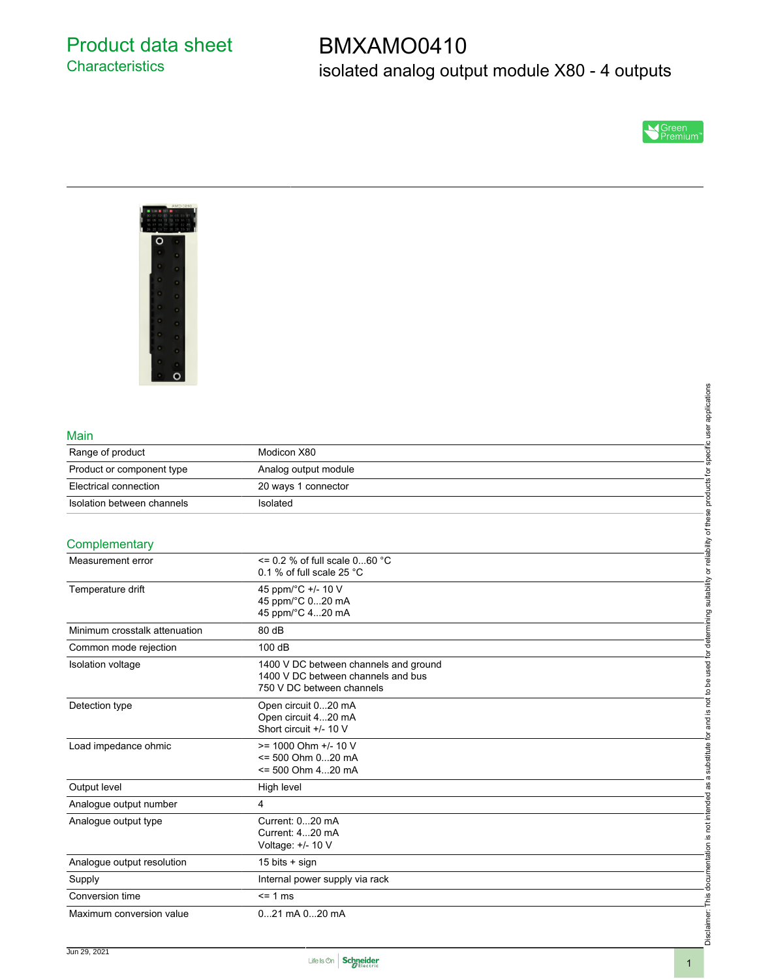# BMXAMO0410 isolated analog output module X80 - 4 outputs





#### Main

| Complementary              |                      | bility     |
|----------------------------|----------------------|------------|
| Isolation between channels | Isolated             |            |
| Electrical connection      | 20 ways 1 connector  |            |
| Product or component type  | Analog output module |            |
| Range of product           | Modicon X80          |            |
| Main                       |                      |            |
|                            |                      | pplication |

### **Complementary**

| Main                          |                                               |                                                                                                                                  |
|-------------------------------|-----------------------------------------------|----------------------------------------------------------------------------------------------------------------------------------|
| Range of product              | Modicon X80                                   |                                                                                                                                  |
| Product or component type     | Analog output module                          |                                                                                                                                  |
| Electrical connection         | 20 ways 1 connector                           |                                                                                                                                  |
| Isolation between channels    | Isolated                                      |                                                                                                                                  |
|                               |                                               |                                                                                                                                  |
| Complementary                 |                                               | substitute for and is not to be used for determining suitability or reliability of these products for specific user applications |
| Measurement error             | $\le$ = 0.2 % of full scale 060 °C            |                                                                                                                                  |
|                               | 0.1 % of full scale 25 $^{\circ}$ C           |                                                                                                                                  |
| Temperature drift             | 45 ppm/°C +/- 10 V                            |                                                                                                                                  |
|                               | 45 ppm/°C 020 mA                              |                                                                                                                                  |
|                               | 45 ppm/°C 420 mA                              |                                                                                                                                  |
| Minimum crosstalk attenuation | 80 dB                                         |                                                                                                                                  |
| Common mode rejection         | 100 dB                                        |                                                                                                                                  |
| Isolation voltage             | 1400 V DC between channels and ground         |                                                                                                                                  |
|                               | 1400 V DC between channels and bus            |                                                                                                                                  |
|                               | 750 V DC between channels                     |                                                                                                                                  |
| Detection type                | Open circuit 020 mA                           |                                                                                                                                  |
|                               | Open circuit 420 mA<br>Short circuit +/- 10 V |                                                                                                                                  |
|                               |                                               |                                                                                                                                  |
| Load impedance ohmic          | >= 1000 Ohm +/- 10 V                          |                                                                                                                                  |
|                               | <= 500 Ohm 020 mA<br><= 500 Ohm 420 mA        |                                                                                                                                  |
|                               |                                               | $\varpi$                                                                                                                         |
| Output level                  | High level                                    |                                                                                                                                  |
| Analogue output number        | 4                                             |                                                                                                                                  |
| Analogue output type          | Current: 020 mA                               |                                                                                                                                  |
|                               | Current: 420 mA                               |                                                                                                                                  |
|                               | Voltage: +/- 10 V                             |                                                                                                                                  |
| Analogue output resolution    | 15 bits + sign                                |                                                                                                                                  |
| Supply                        | Internal power supply via rack                |                                                                                                                                  |
| Conversion time               | $\leq$ 1 ms                                   | Disclaimer: This documentation is not intended as                                                                                |
| Maximum conversion value      | 021 mA 020 mA                                 |                                                                                                                                  |
|                               |                                               |                                                                                                                                  |
|                               |                                               |                                                                                                                                  |

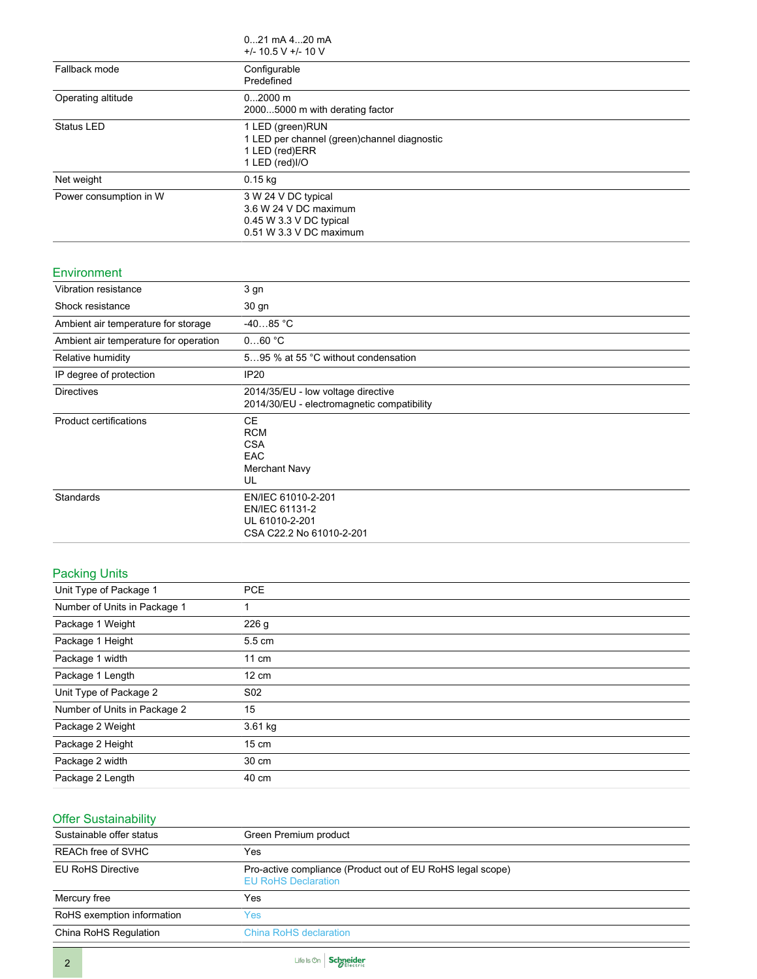|                        | $021$ mA $420$ mA<br>$+/- 10.5 V +/- 10 V$                                                               |
|------------------------|----------------------------------------------------------------------------------------------------------|
| Fallback mode          | Configurable<br>Predefined                                                                               |
| Operating altitude     | $02000$ m<br>20005000 m with derating factor                                                             |
| <b>Status LED</b>      | 1 LED (green)RUN<br>1 LED per channel (green) channel diagnostic<br>1 LED (red)ERR<br>1 LED (red)I/O     |
| Net weight             | $0.15$ kg                                                                                                |
| Power consumption in W | 3 W 24 V DC typical<br>3.6 W 24 V DC maximum<br>$0.45$ W 3.3 V DC typical<br>$0.51$ W $3.3$ V DC maximum |

#### Environment

| Vibration resistance                  | 3 gn                                                                               |
|---------------------------------------|------------------------------------------------------------------------------------|
| Shock resistance                      | 30 gn                                                                              |
| Ambient air temperature for storage   | $-4085 °C$                                                                         |
| Ambient air temperature for operation | 060 °C                                                                             |
| Relative humidity                     | 595 % at 55 °C without condensation                                                |
| IP degree of protection               | IP20                                                                               |
| <b>Directives</b>                     | 2014/35/EU - low voltage directive<br>2014/30/EU - electromagnetic compatibility   |
| <b>Product certifications</b>         | CE<br><b>RCM</b><br><b>CSA</b><br><b>EAC</b><br>Merchant Navy<br>UL                |
| Standards                             | EN/IEC 61010-2-201<br>EN/IEC 61131-2<br>UL 61010-2-201<br>CSA C22.2 No 61010-2-201 |

### Packing Units

| Unit Type of Package 1       | <b>PCE</b>      |  |
|------------------------------|-----------------|--|
| Number of Units in Package 1 |                 |  |
| Package 1 Weight             | 226 g           |  |
| Package 1 Height             | 5.5 cm          |  |
| Package 1 width              | $11 \text{ cm}$ |  |
| Package 1 Length             | $12 \text{ cm}$ |  |
| Unit Type of Package 2       | S <sub>02</sub> |  |
| Number of Units in Package 2 | 15              |  |
| Package 2 Weight             | $3.61$ kg       |  |
| Package 2 Height             | $15 \text{ cm}$ |  |
| Package 2 width              | 30 cm           |  |
| Package 2 Length             | 40 cm           |  |
|                              |                 |  |

# Offer Sustainability

| Green Premium product                                                                    |  |
|------------------------------------------------------------------------------------------|--|
| Yes                                                                                      |  |
| Pro-active compliance (Product out of EU RoHS legal scope)<br><b>EU RoHS Declaration</b> |  |
| Yes                                                                                      |  |
| Yes                                                                                      |  |
| <b>China RoHS declaration</b>                                                            |  |
|                                                                                          |  |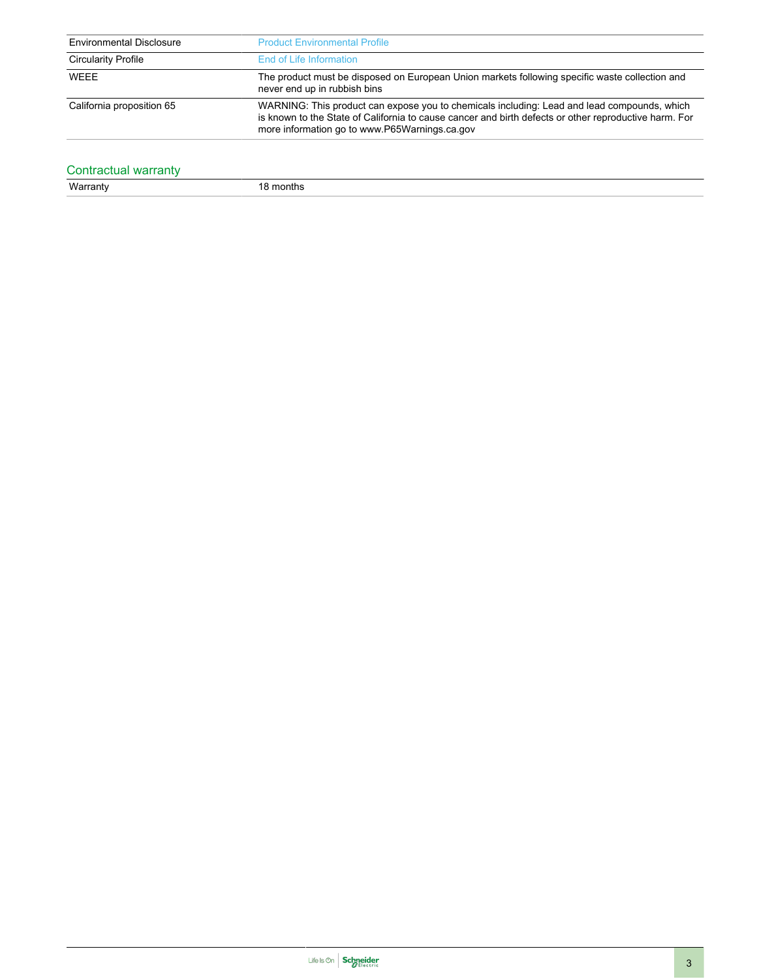| <b>Environmental Disclosure</b> | <b>Product Environmental Profile</b>                                                                                                                                                                                                                  |
|---------------------------------|-------------------------------------------------------------------------------------------------------------------------------------------------------------------------------------------------------------------------------------------------------|
| <b>Circularity Profile</b>      | End of Life Information                                                                                                                                                                                                                               |
| WEEE                            | The product must be disposed on European Union markets following specific waste collection and<br>never end up in rubbish bins                                                                                                                        |
| California proposition 65       | WARNING: This product can expose you to chemicals including: Lead and lead compounds, which<br>is known to the State of California to cause cancer and birth defects or other reproductive harm. For<br>more information go to www.P65Warnings.ca.gov |

# Contractual warranty<br>Warranty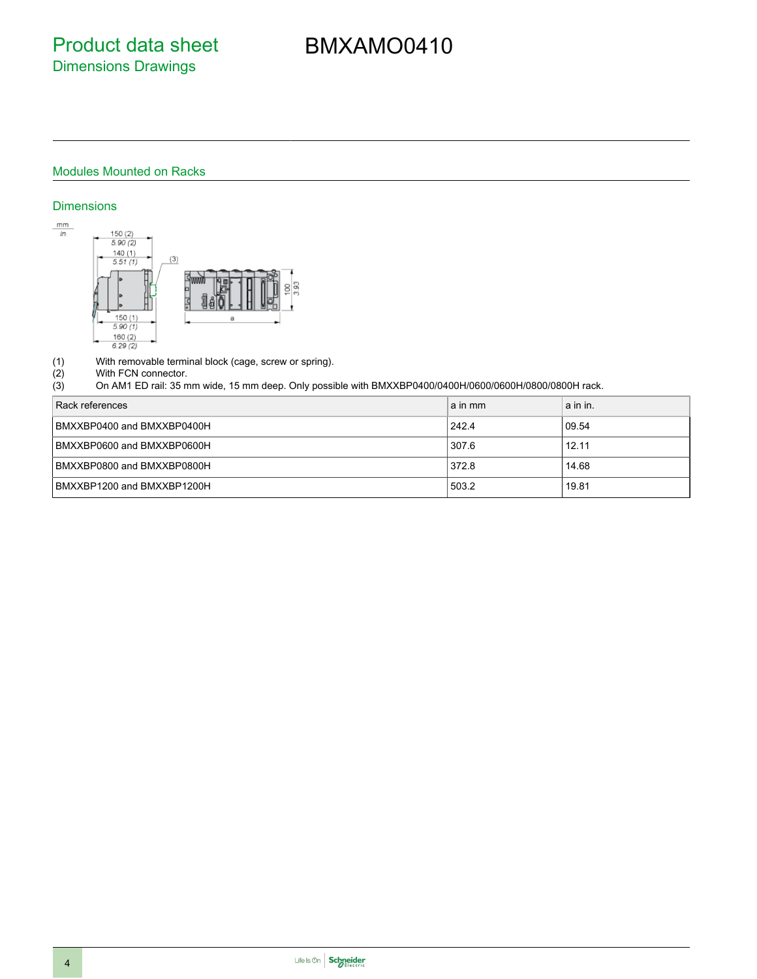# BMXAMO0410

## Modules Mounted on Racks

### **Dimensions**



(1) With removable terminal block (cage, screw or spring).<br>
(2) With FCN connector.<br>
(3) On AM1 ED rail: 35 mm wide, 15 mm deep. Only possi

#### With FCN connector.

(3) On AM1 ED rail: 35 mm wide, 15 mm deep. Only possible with BMXXBP0400/0400H/0600/0600H/0800/0800H rack.

| Rack references            | a in mm | a in in. |
|----------------------------|---------|----------|
| BMXXBP0400 and BMXXBP0400H | 242.4   | 09.54    |
| BMXXBP0600 and BMXXBP0600H | 307.6   | 12.11    |
| BMXXBP0800 and BMXXBP0800H | 372.8   | 14.68    |
| BMXXBP1200 and BMXXBP1200H | 503.2   | 19.81    |